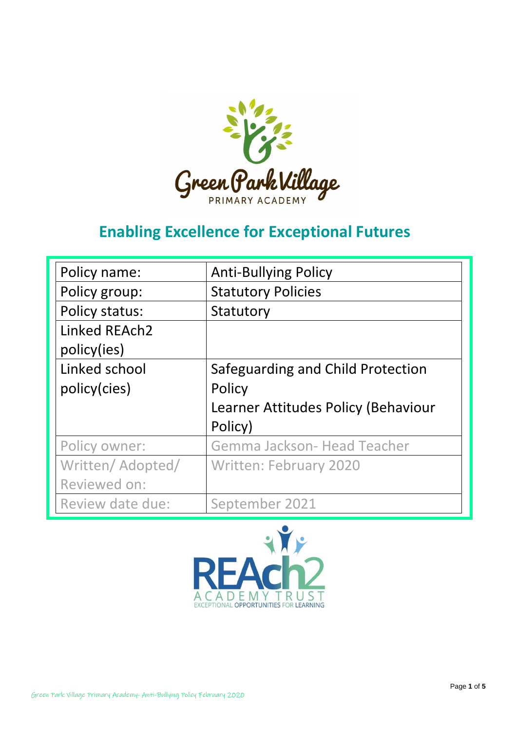

# **Enabling Excellence for Exceptional Futures**

| Policy name:     | <b>Anti-Bullying Policy</b>         |
|------------------|-------------------------------------|
| Policy group:    | <b>Statutory Policies</b>           |
| Policy status:   | Statutory                           |
| Linked REAch2    |                                     |
| policy(ies)      |                                     |
| Linked school    | Safeguarding and Child Protection   |
| policy(cies)     | Policy                              |
|                  | Learner Attitudes Policy (Behaviour |
|                  | Policy)                             |
| Policy owner:    | Gemma Jackson- Head Teacher         |
| Written/Adopted/ | <b>Written: February 2020</b>       |
| Reviewed on:     |                                     |
| Review date due: | September 2021                      |

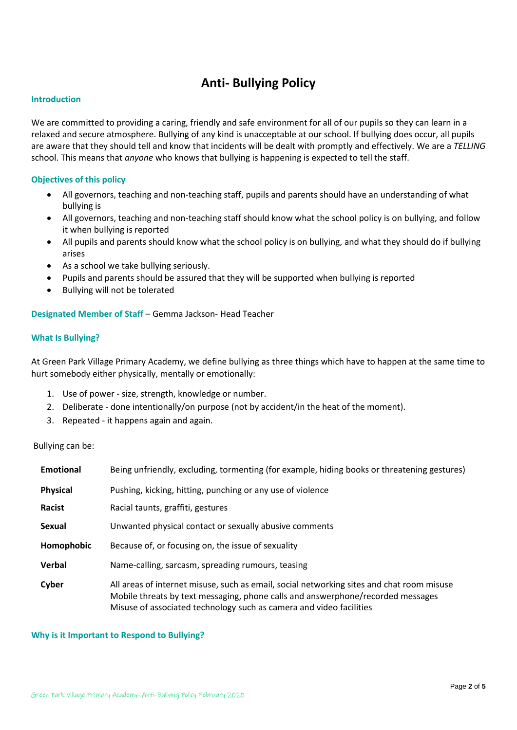# **Anti- Bullying Policy**

#### **Introduction**

We are committed to providing a caring, friendly and safe environment for all of our pupils so they can learn in a relaxed and secure atmosphere. Bullying of any kind is unacceptable at our school. If bullying does occur, all pupils are aware that they should tell and know that incidents will be dealt with promptly and effectively. We are a *TELLING*  school. This means that *anyone* who knows that bullying is happening is expected to tell the staff.

### **Objectives of this policy**

- All governors, teaching and non-teaching staff, pupils and parents should have an understanding of what bullying is
- All governors, teaching and non-teaching staff should know what the school policy is on bullying, and follow it when bullying is reported
- All pupils and parents should know what the school policy is on bullying, and what they should do if bullying arises
- As a school we take bullying seriously.
- Pupils and parents should be assured that they will be supported when bullying is reported
- Bullying will not be tolerated

**Designated Member of Staff** – Gemma Jackson- Head Teacher

#### **What Is Bullying?**

At Green Park Village Primary Academy, we define bullying as three things which have to happen at the same time to hurt somebody either physically, mentally or emotionally:

- 1. Use of power size, strength, knowledge or number.
- 2. Deliberate done intentionally/on purpose (not by accident/in the heat of the moment).
- 3. Repeated it happens again and again.

#### Bullying can be:

| <b>Emotional</b> | Being unfriendly, excluding, tormenting (for example, hiding books or threatening gestures)                                                                                                                                                         |  |
|------------------|-----------------------------------------------------------------------------------------------------------------------------------------------------------------------------------------------------------------------------------------------------|--|
| <b>Physical</b>  | Pushing, kicking, hitting, punching or any use of violence                                                                                                                                                                                          |  |
| Racist           | Racial taunts, graffiti, gestures                                                                                                                                                                                                                   |  |
| <b>Sexual</b>    | Unwanted physical contact or sexually abusive comments                                                                                                                                                                                              |  |
| Homophobic       | Because of, or focusing on, the issue of sexuality                                                                                                                                                                                                  |  |
| Verbal           | Name-calling, sarcasm, spreading rumours, teasing                                                                                                                                                                                                   |  |
| Cyber            | All areas of internet misuse, such as email, social networking sites and chat room misuse<br>Mobile threats by text messaging, phone calls and answerphone/recorded messages<br>Misuse of associated technology such as camera and video facilities |  |

#### **Why is it Important to Respond to Bullying?**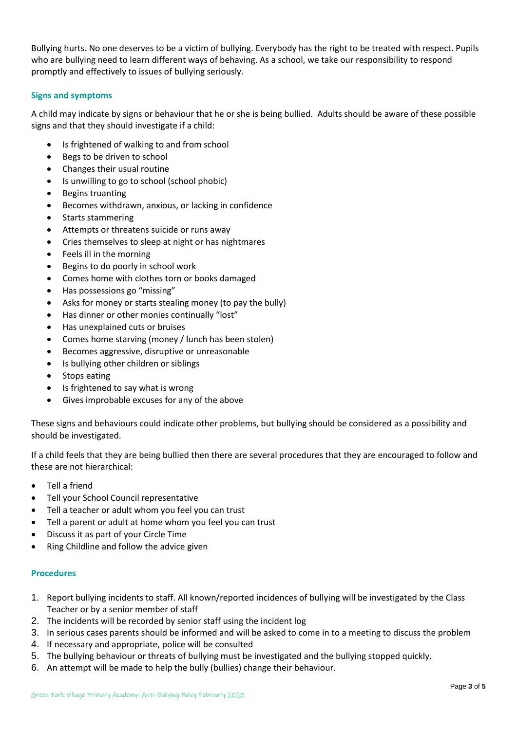Bullying hurts. No one deserves to be a victim of bullying. Everybody has the right to be treated with respect. Pupils who are bullying need to learn different ways of behaving. As a school, we take our responsibility to respond promptly and effectively to issues of bullying seriously.

# **Signs and symptoms**

A child may indicate by signs or behaviour that he or she is being bullied. Adults should be aware of these possible signs and that they should investigate if a child:

- Is frightened of walking to and from school
- Begs to be driven to school
- Changes their usual routine
- Is unwilling to go to school (school phobic)
- Begins truanting
- Becomes withdrawn, anxious, or lacking in confidence
- Starts stammering
- Attempts or threatens suicide or runs away
- Cries themselves to sleep at night or has nightmares
- Feels ill in the morning
- Begins to do poorly in school work
- Comes home with clothes torn or books damaged
- Has possessions go "missing"
- Asks for money or starts stealing money (to pay the bully)
- Has dinner or other monies continually "lost"
- Has unexplained cuts or bruises
- Comes home starving (money / lunch has been stolen)
- Becomes aggressive, disruptive or unreasonable
- Is bullying other children or siblings
- Stops eating
- Is frightened to say what is wrong
- Gives improbable excuses for any of the above

These signs and behaviours could indicate other problems, but bullying should be considered as a possibility and should be investigated.

If a child feels that they are being bullied then there are several procedures that they are encouraged to follow and these are not hierarchical:

- Tell a friend
- Tell your School Council representative
- Tell a teacher or adult whom you feel you can trust
- Tell a parent or adult at home whom you feel you can trust
- Discuss it as part of your Circle Time
- Ring Childline and follow the advice given

# **Procedures**

- 1. Report bullying incidents to staff. All known/reported incidences of bullying will be investigated by the Class Teacher or by a senior member of staff
- 2. The incidents will be recorded by senior staff using the incident log
- 3. In serious cases parents should be informed and will be asked to come in to a meeting to discuss the problem
- 4. If necessary and appropriate, police will be consulted
- 5. The bullying behaviour or threats of bullying must be investigated and the bullying stopped quickly.
- 6. An attempt will be made to help the bully (bullies) change their behaviour.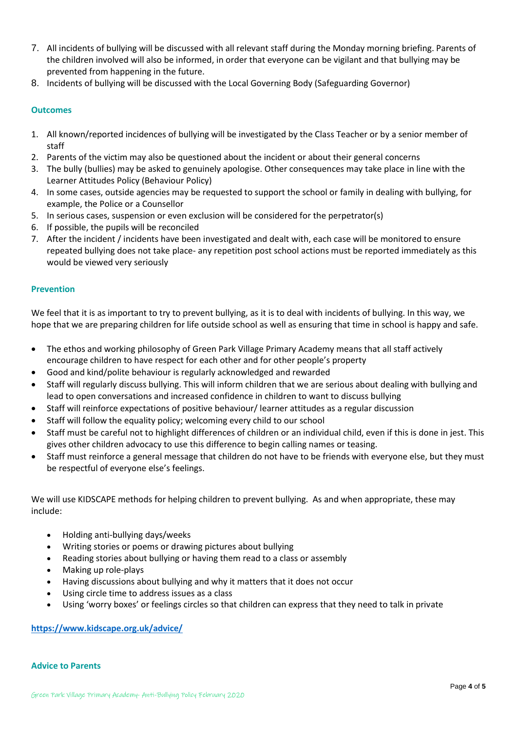- 7. All incidents of bullying will be discussed with all relevant staff during the Monday morning briefing. Parents of the children involved will also be informed, in order that everyone can be vigilant and that bullying may be prevented from happening in the future.
- 8. Incidents of bullying will be discussed with the Local Governing Body (Safeguarding Governor)

# **Outcomes**

- 1. All known/reported incidences of bullying will be investigated by the Class Teacher or by a senior member of staff
- 2. Parents of the victim may also be questioned about the incident or about their general concerns
- 3. The bully (bullies) may be asked to genuinely apologise. Other consequences may take place in line with the Learner Attitudes Policy (Behaviour Policy)
- 4. In some cases, outside agencies may be requested to support the school or family in dealing with bullying, for example, the Police or a Counsellor
- 5. In serious cases, suspension or even exclusion will be considered for the perpetrator(s)
- 6. If possible, the pupils will be reconciled
- 7. After the incident / incidents have been investigated and dealt with, each case will be monitored to ensure repeated bullying does not take place- any repetition post school actions must be reported immediately as this would be viewed very seriously

# **Prevention**

We feel that it is as important to try to prevent bullying, as it is to deal with incidents of bullying. In this way, we hope that we are preparing children for life outside school as well as ensuring that time in school is happy and safe.

- The ethos and working philosophy of Green Park Village Primary Academy means that all staff actively encourage children to have respect for each other and for other people's property
- Good and kind/polite behaviour is regularly acknowledged and rewarded
- Staff will regularly discuss bullying. This will inform children that we are serious about dealing with bullying and lead to open conversations and increased confidence in children to want to discuss bullying
- Staff will reinforce expectations of positive behaviour/ learner attitudes as a regular discussion
- Staff will follow the equality policy; welcoming every child to our school
- Staff must be careful not to highlight differences of children or an individual child, even if this is done in jest. This gives other children advocacy to use this difference to begin calling names or teasing.
- Staff must reinforce a general message that children do not have to be friends with everyone else, but they must be respectful of everyone else's feelings.

We will use KIDSCAPE methods for helping children to prevent bullying. As and when appropriate, these may include:

- Holding anti-bullying days/weeks
- Writing stories or poems or drawing pictures about bullying
- Reading stories about bullying or having them read to a class or assembly
- Making up role-plays
- Having discussions about bullying and why it matters that it does not occur
- Using circle time to address issues as a class
- Using 'worry boxes' or feelings circles so that children can express that they need to talk in private

# **<https://www.kidscape.org.uk/advice/>**

# **Advice to Parents**